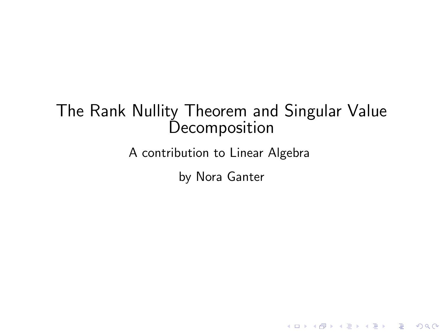### The Rank Nullity Theorem and Singular Value **Decomposition**

A contribution to Linear Algebra

by Nora Ganter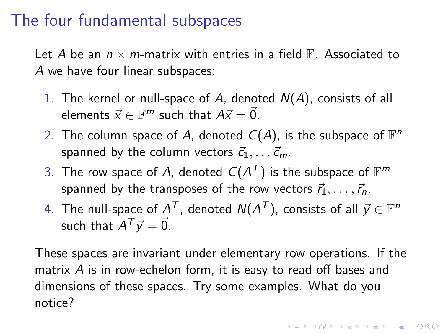## The four fundamental subspaces

Let A be an  $n \times m$ -matrix with entries in a field  $\mathbb F$ . Associated to A we have four linear subspaces:

- 1. The kernel or null-space of A, denoted  $N(A)$ , consists of all elements  $\vec{x} \in \mathbb{F}^m$  such that  $A\vec{x} = \vec{0}$ .
- 2. The column space of A, denoted  $C(A)$ , is the subspace of  $\mathbb{F}^n$ spanned by the column vectors  $\vec{c}_1, \ldots \vec{c}_m$ .
- 3. The row space of A, denoted  $\mathcal{C}(A^{\mathcal{T}})$  is the subspace of  $\mathbb{F}^m$ spanned by the transposes of the row vectors  $\vec{r}_1, \ldots, \vec{r}_n$ .
- 4. The null-space of  $A^{\mathcal{T}}$ , denoted  $\mathcal{N}(A^{\mathcal{T}})$ , consists of all  $\vec{y} \in \mathbb{F}^n$ such that  $A^T \vec{y} = \vec{0}$ .

These spaces are invariant under elementary row operations. If the matrix A is in row-echelon form, it is easy to read off bases and dimensions of these spaces. Try some examples. What do you notice?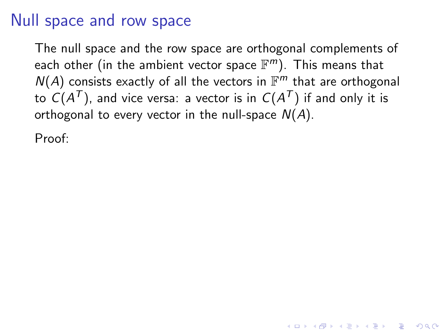### Null space and row space

The null space and the row space are orthogonal complements of each other (in the ambient vector space  $\mathbb{F}^m$ ). This means that  $N(A)$  consists exactly of all the vectors in  $\mathbb{F}^m$  that are orthogonal to  ${\cal C}(A^{{\cal T}})$ , and vice versa: a vector is in  ${\cal C}(A^{{\cal T}})$  if and only it is orthogonal to every vector in the null-space  $N(A)$ .

**KORK EXTERNE PROVIDE** 

Proof: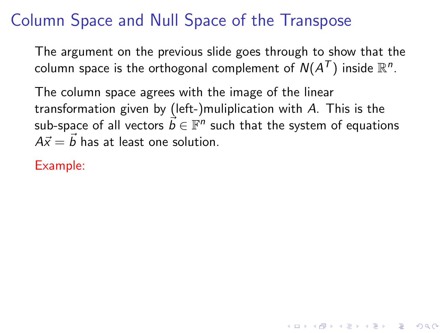# Column Space and Null Space of the Transpose

The argument on the previous slide goes through to show that the column space is the orthogonal complement of  $\mathcal{N}(A^{\mathcal{T}})$  inside  $\mathbb{R}^n$ .

The column space agrees with the image of the linear transformation given by (left-)muliplication with A. This is the sub-space of all vectors  $\vec{b} \in \mathbb{F}^n$  such that the system of equations  $A\vec{x} = \vec{b}$  has at least one solution.

KID KA KERKER KID KO

Example: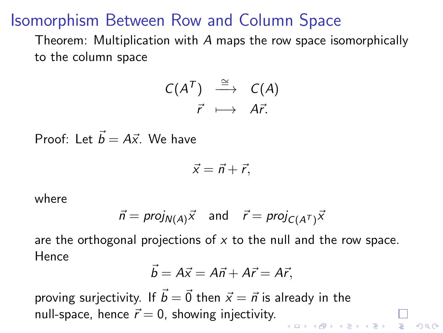### Isomorphism Between Row and Column Space

Theorem: Multiplication with A maps the row space isomorphically to the column space

$$
\begin{array}{ccc}\nC(A^T) & \stackrel{\cong}{\longrightarrow} & C(A) \\
\vec{r} & \longmapsto & A\vec{r}.\n\end{array}
$$

Proof: Let  $\vec{b} = A\vec{x}$ . We have

$$
\vec{x} = \vec{n} + \vec{r},
$$

where

$$
\vec{n} = \text{proj}_{N(A)}\vec{x} \quad \text{and} \quad \vec{r} = \text{proj}_{C(A^T)}\vec{x}
$$

are the orthogonal projections of  $x$  to the null and the row space. Hence

$$
\vec{b}=A\vec{x}=A\vec{n}+A\vec{r}=A\vec{r},
$$

proving surjectivity. If  $\vec{b} = \vec{0}$  then  $\vec{x} = \vec{n}$  is already in the null-space, hence  $\vec{r} = 0$ , showing injectivity.